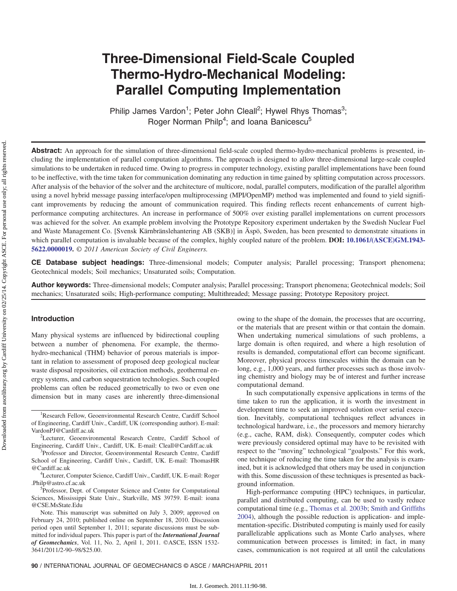# Three-Dimensional Field-Scale Coupled Thermo-Hydro-Mechanical Modeling: Parallel Computing Implementation

Philip James Vardon<sup>1</sup>; Peter John Cleall<sup>2</sup>; Hywel Rhys Thomas<sup>3</sup>; Roger Norman Philp<sup>4</sup>; and Ioana Banicescu<sup>5</sup>

Abstract: An approach for the simulation of three-dimensional field-scale coupled thermo-hydro-mechanical problems is presented, including the implementation of parallel computation algorithms. The approach is designed to allow three-dimensional large-scale coupled simulations to be undertaken in reduced time. Owing to progress in computer technology, existing parallel implementations have been found to be ineffective, with the time taken for communication dominating any reduction in time gained by splitting computation across processors. After analysis of the behavior of the solver and the architecture of multicore, nodal, parallel computers, modification of the parallel algorithm using a novel hybrid message passing interface/open multiprocessing (MPI/OpenMP) method was implemented and found to yield significant improvements by reducing the amount of communication required. This finding reflects recent enhancements of current highperformance computing architectures. An increase in performance of 500% over existing parallel implementations on current processors was achieved for the solver. An example problem involving the Prototype Repository experiment undertaken by the Swedish Nuclear Fuel and Waste Management Co. [Svensk Kärnbränslehantering AB (SKB)] in Äspö, Sweden, has been presented to demonstrate situations in which parallel computation is invaluable because of the complex, highly coupled nature of the problem. DOI: [10.1061/\(ASCE\)GM.1943-](http://dx.doi.org/10.1061/(ASCE)GM.1943-5622.0000019) [5622.0000019.](http://dx.doi.org/10.1061/(ASCE)GM.1943-5622.0000019) © 2011 American Society of Civil Engineers.

CE Database subject headings: Three-dimensional models; Computer analysis; Parallel processing; Transport phenomena; Geotechnical models; Soil mechanics; Unsaturated soils; Computation.

Author keywords: Three-dimensional models; Computer analysis; Parallel processing; Transport phenomena; Geotechnical models; Soil mechanics; Unsaturated soils; High-performance computing; Multithreaded; Message passing; Prototype Repository project.

# Introduction

Many physical systems are influenced by bidirectional coupling between a number of phenomena. For example, the thermohydro-mechanical (THM) behavior of porous materials is important in relation to assessment of proposed deep geological nuclear waste disposal repositories, oil extraction methods, geothermal energy systems, and carbon sequestration technologies. Such coupled problems can often be reduced geometrically to two or even one dimension but in many cases are inherently three-dimensional

<sup>2</sup>Lecturer, Geoenvironmental Research Centre, Cardiff School of Engineering, Cardiff Univ., Cardiff, UK. E-mail: Cleall@Cardiff.ac.uk <sup>3</sup>

<sup>3</sup>Professor and Director, Geoenvironmental Research Centre, Cardiff School of Engineering, Cardiff Univ., Cardiff, UK. E-mail: ThomasHR @Cardiff.ac.uk <sup>4</sup>

Lecturer, Computer Science, Cardiff Univ., Cardiff, UK. E-mail: Roger .Philp@astro.cf.ac.uk <sup>5</sup>

<sup>5</sup>Professor, Dept. of Computer Science and Centre for Computational Sciences, Mississippi State Univ., Starkville, MS 39759. E-mail: ioana @CSE.MsState.Edu

Note. This manuscript was submitted on July 3, 2009; approved on February 24, 2010; published online on September 18, 2010. Discussion period open until September 1, 2011; separate discussions must be submitted for individual papers. This paper is part of the *International Journal* of Geomechanics, Vol. 11, No. 2, April 1, 2011. ©ASCE, ISSN 1532- 3641/2011/2-90–98/\$25.00.

owing to the shape of the domain, the processes that are occurring, or the materials that are present within or that contain the domain. When undertaking numerical simulations of such problems, a large domain is often required, and where a high resolution of results is demanded, computational effort can become significant. Moreover, physical process timescales within the domain can be long, e.g., 1,000 years, and further processes such as those involving chemistry and biology may be of interest and further increase computational demand.

In such computationally expensive applications in terms of the time taken to run the application, it is worth the investment in development time to seek an improved solution over serial execution. Inevitably, computational techniques reflect advances in technological hardware, i.e., the processors and memory hierarchy (e.g., cache, RAM, disk). Consequently, computer codes which were previously considered optimal may have to be revisited with respect to the "moving" technological "goalposts." For this work, one technique of reducing the time taken for the analysis is examined, but it is acknowledged that others may be used in conjunction with this. Some discussion of these techniques is presented as background information.

High-performance computing (HPC) techniques, in particular, parallel and distributed computing, can be used to vastly reduce computational time (e.g., [Thomas et al. 2003b](#page-8-0); [Smith and Griffiths](#page-8-1) [2004](#page-8-1)), although the possible reduction is application- and implementation-specific. Distributed computing is mainly used for easily parallelizable applications such as Monte Carlo analyses, where communication between processes is limited; in fact, in many cases, communication is not required at all until the calculations

<sup>&</sup>lt;sup>1</sup>Research Fellow, Geoenvironmental Research Centre, Cardiff School of Engineering, Cardiff Univ., Cardiff, UK (corresponding author). E-mail: VardonPJ@Cardiff.ac.uk <sup>2</sup>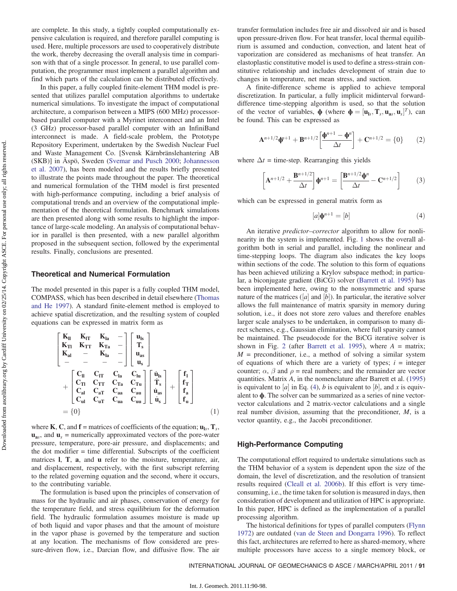are complete. In this study, a tightly coupled computationally expensive calculation is required, and therefore parallel computing is used. Here, multiple processors are used to cooperatively distribute the work, thereby decreasing the overall analysis time in comparison with that of a single processor. In general, to use parallel computation, the programmer must implement a parallel algorithm and find which parts of the calculation can be distributed effectively.

In this paper, a fully coupled finite-element THM model is presented that utilizes parallel computation algorithms to undertake numerical simulations. To investigate the impact of computational architecture, a comparison between a MIPS (600 MHz) processorbased parallel computer with a Myrinet interconnect and an Intel (3 GHz) processor-based parallel computer with an InfiniBand interconnect is made. A field-scale problem, the Prototype Repository Experiment, undertaken by the Swedish Nuclear Fuel and Waste Management Co. [Svensk Kärnbränslehantering AB (SKB)] in Äspö, Sweden [\(Svemar and Pusch 2000](#page-8-2); [Johannesson](#page-8-3) [et al. 2007\)](#page-8-3), has been modeled and the results briefly presented to illustrate the points made throughout the paper. The theoretical and numerical formulation of the THM model is first presented with high-performance computing, including a brief analysis of computational trends and an overview of the computational implementation of the theoretical formulation. Benchmark simulations are then presented along with some results to highlight the importance of large-scale modeling. An analysis of computational behavior in parallel is then presented, with a new parallel algorithm proposed in the subsequent section, followed by the experimental results. Finally, conclusions are presented.

## Theoretical and Numerical Formulation

The model presented in this paper is a fully coupled THM model, COMPASS, which has been described in detail elsewhere ([Thomas](#page-8-4) [and He 1997\)](#page-8-4). A standard finite-element method is employed to achieve spatial discretization, and the resulting system of coupled equations can be expressed in matrix form as

$$
\begin{bmatrix}\nK_{II} & K_{IT} & K_{Ia} & - \\
K_{TI} & K_{TT} & K_{Ta} & - \\
K_{al} & - & K_{Ia} & - \\
& - & - & -\n\end{bmatrix}\n\begin{bmatrix}\nu_{ls} \\
T_s \\
u_{as} \\
u_s\n\end{bmatrix}
$$
\n
$$
+\n\begin{bmatrix}\nC_{II} & C_{IT} & C_{Ia} & C_{Iu} \\
C_{TI} & C_{TT} & C_{Ta} & C_{Tu} \\
C_{al} & C_{aT} & C_{aa} & C_{au} \\
C_{ul} & C_{uT} & C_{ua} & C_{uu}\n\end{bmatrix}\n\begin{bmatrix}\n\dot{u}_{ls} \\
\dot{T}_s \\
\dot{u}_{as} \\
\dot{u}_s\n\end{bmatrix} +\n\begin{bmatrix}\nf_1 \\
f_T \\
f_a \\
f_a\n\end{bmatrix}
$$
\n
$$
= \{0\}
$$
\n(1)

where **K**, **C**, and **f** = matrices of coefficients of the equation;  $\mathbf{u}_{1s}$ ,  $\mathbf{T}_s$ ,  $\mathbf{u}_{\text{as}}$ , and  $\mathbf{u}_{\text{s}}$  = numerically approximated vectors of the pore-water pressure, temperature, pore-air pressure, and displacements; and the dot modifier = time differential. Subscripts of the coefficient matrices l, T, a, and u refer to the moisture, temperature, air, and displacement, respectively, with the first subscript referring to the related governing equation and the second, where it occurs, to the contributing variable.

The formulation is based upon the principles of conservation of mass for the hydraulic and air phases, conservation of energy for the temperature field, and stress equilibrium for the deformation field. The hydraulic formulation assumes moisture is made up of both liquid and vapor phases and that the amount of moisture in the vapor phase is governed by the temperature and suction at any location. The mechanisms of flow considered are pressure-driven flow, i.e., Darcian flow, and diffusive flow. The air transfer formulation includes free air and dissolved air and is based upon pressure-driven flow. For heat transfer, local thermal equilibrium is assumed and conduction, convection, and latent heat of vaporization are considered as mechanisms of heat transfer. An elastoplastic constitutive model is used to define a stress-strain constitutive relationship and includes development of strain due to changes in temperature, net mean stress, and suction.

A finite-difference scheme is applied to achieve temporal discretization. In particular, a fully implicit midinterval forwarddifference time-stepping algorithm is used, so that the solution of the vector of variables,  $\phi$  (where  $\phi = [\mathbf{u}_{ls}, \mathbf{T}_s, \mathbf{u}_{as}, \mathbf{u}_s]^T$ ), can<br>be found This can be expressed as be found. This can be expressed as

$$
\mathbf{A}^{n+1/2}\mathbf{\Phi}^{n+1} + \mathbf{B}^{n+1/2} \left[ \frac{\mathbf{\Phi}^{n+1} - \mathbf{\Phi}^n}{\Delta t} \right] + \mathbf{C}^{n+1/2} = \{0\} \tag{2}
$$

where  $\Delta t$  = time-step. Rearranging this yields

$$
\[ \mathbf{A}^{n+1/2} + \frac{\mathbf{B}^{n+1/2}}{\Delta t} \] \mathbf{\Phi}^{n+1} = \[ \frac{\mathbf{B}^{n+1/2} \mathbf{\Phi}^n}{\Delta t} - \mathbf{C}^{n+1/2} \] \tag{3}
$$

<span id="page-1-0"></span>which can be expressed in general matrix form as

$$
[a]\mathbf{\Phi}^{n+1} = [b] \tag{4}
$$

An iterative *predictor–corrector* algorithm to allow for nonlinearity in the system is implemented. Fig. [1](#page-2-0) shows the overall algorithm both in serial and parallel, including the nonlinear and time-stepping loops. The diagram also indicates the key loops within sections of the code. The solution to this form of equations has been achieved utilizing a Krylov subspace method; in particular, a biconjugate gradient (BiCG) solver [\(Barrett et al. 1995](#page-8-5)) has been implemented here, owing to the nonsymmetric and sparse nature of the matrices  $([a] \text{ and } [b])$ . In particular, the iterative solver allows the full maintenance of matrix sparsity in memory during allows the full maintenance of matrix sparsity in memory during solution, i.e., it does not store zero values and therefore enables larger scale analyses to be undertaken, in comparison to many direct schemes, e.g., Gaussian elimination, where full sparsity cannot be maintained. The pseudocode for the BiCG iterative solver is shown in Fig. [2](#page-2-1) (after [Barrett et al. 1995\)](#page-8-5), where  $A =$  matrix;  $M =$  preconditioner, i.e., a method of solving a similar system of equations of which there are a variety of types;  $i =$  integer counter;  $\alpha$ ,  $\beta$  and  $\rho$  = real numbers; and the remainder are vector quantities. Matrix A, in the nomenclature after Barrett et al. ([1995\)](#page-8-5) is equivalent to [a] in Eq. [\(4\)](#page-1-0), b is equivalent to [b], and x is equiv-<br>alent to  $\phi$ . The solver can be summarized as a series of nine vectoralent to ϕ. The solver can be summarized as a series of nine vectorvector calculations and 2 matrix-vector calculations and a single real number division, assuming that the preconditioner, M, is a vector quantity, e.g., the Jacobi preconditioner.

#### High-Performance Computing

The computational effort required to undertake simulations such as the THM behavior of a system is dependent upon the size of the domain, the level of discretization, and the resolution of transient results required ([Cleall et al. 2006b](#page-8-6)). If this effort is very timeconsuming, i.e., the time taken for solution is measured in days, then consideration of development and utilization of HPC is appropriate. In this paper, HPC is defined as the implementation of a parallel processing algorithm.

The historical definitions for types of parallel computers ([Flynn](#page-8-7) [1972](#page-8-7)) are outdated ([van de Steen and Dongarra 1996\)](#page-8-8). To reflect this fact, architectures are referred to here as shared-memory, where multiple processors have access to a single memory block, or

INTERNATIONAL JOURNAL OF GEOMECHANICS © ASCE / MARCH/APRIL 2011 / 91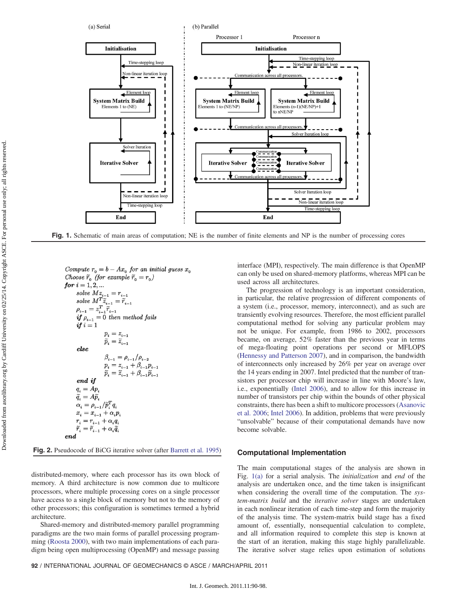<span id="page-2-0"></span>

Fig. 1. Schematic of main areas of computation; NE is the number of finite elements and NP is the number of processing cores

<span id="page-2-1"></span>

Fig. 2. Pseudocode of BiCG iterative solver (after [Barrett et al. 1995\)](#page-8-5)

distributed-memory, where each processor has its own block of memory. A third architecture is now common due to multicore processors, where multiple processing cores on a single processor have access to a single block of memory but not to the memory of other processors; this configuration is sometimes termed a hybrid architecture.

Shared-memory and distributed-memory parallel programming paradigms are the two main forms of parallel processing programming ([Roosta 2000\)](#page-8-9), with two main implementations of each paradigm being open multiprocessing (OpenMP) and message passing interface (MPI), respectively. The main difference is that OpenMP can only be used on shared-memory platforms, whereas MPI can be used across all architectures.

The progression of technology is an important consideration, in particular, the relative progression of different components of a system (i.e., processor, memory, interconnect), and as such are transiently evolving resources. Therefore, the most efficient parallel computational method for solving any particular problem may not be unique. For example, from 1986 to 2002, processors became, on average, 52% faster than the previous year in terms of mega-floating point operations per second or MFLOPS [\(Hennessy and Patterson 2007](#page-8-10)), and in comparison, the bandwidth of interconnects only increased by 26% per year on average over the 14 years ending in 2007. Intel predicted that the number of transistors per processor chip will increase in line with Moore's law, i.e., exponentially ([Intel 2006\)](#page-8-11), and to allow for this increase in number of transistors per chip within the bounds of other physical constraints, there has been a shift to multicore processors [\(Asanovic](#page-8-12) [et al. 2006;](#page-8-12) [Intel 2006\)](#page-8-11). In addition, problems that were previously "unsolvable" because of their computational demands have now become solvable.

#### Computational Implementation

The main computational stages of the analysis are shown in Fig. [1\(a\)](#page-2-0) for a serial analysis. The *initialization* and *end* of the analysis are undertaken once, and the time taken is insignificant when considering the overall time of the computation. The system-matrix build and the iterative solver stages are undertaken in each nonlinear iteration of each time-step and form the majority of the analysis time. The system-matrix build stage has a fixed amount of, essentially, nonsequential calculation to complete, and all information required to complete this step is known at the start of an iteration, making this stage highly parallelizable. The iterative solver stage relies upon estimation of solutions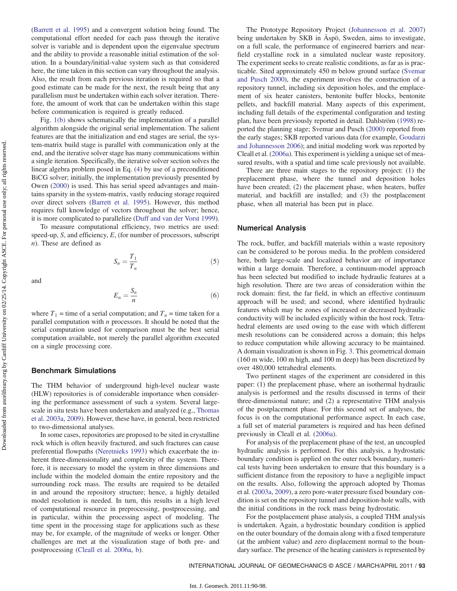computational effort needed for each pass through the iterative solver is variable and is dependent upon the eigenvalue spectrum and the ability to provide a reasonable initial estimation of the solution. In a boundary/initial-value system such as that considered here, the time taken in this section can vary throughout the analysis. Also, the result from each previous iteration is required so that a good estimate can be made for the next, the result being that any parallelism must be undertaken within each solver iteration. Therefore, the amount of work that can be undertaken within this stage before communication is required is greatly reduced. Fig. [1\(b\)](#page-2-0) shows schematically the implementation of a parallel algorithm alongside the original serial implementation. The salient features are that the initialization and end stages are serial, the system-matrix build stage is parallel with communication only at the end, and the iterative solver stage has many communications within

a single iteration. Specifically, the iterative solver section solves the linear algebra problem posed in Eq. ([4\)](#page-1-0) by use of a preconditioned BiCG solver; initially, the implementation previously presented by Owen ([2000\)](#page-8-13) is used. This has serial speed advantages and maintains sparsity in the system-matrix, vastly reducing storage required over direct solvers ([Barrett et al. 1995](#page-8-5)). However, this method requires full knowledge of vectors throughout the solver; hence, it is more complicated to parallelize ([Duff and van der Vorst 1999\)](#page-8-14).

[\(Barrett et al. 1995\)](#page-8-5) and a convergent solution being found. The

To measure computational efficiency, two metrics are used: speed-up,  $S$ , and efficiency,  $E$ , (for number of processors, subscript n). These are defined as

$$
S_n = \frac{T_1}{T_n} \tag{5}
$$

and

$$
E_n = \frac{S_n}{n} \tag{6}
$$

where  $T_1$  = time of a serial computation; and  $T_n$  = time taken for a parallel computation with  $n$  processors. It should be noted that the serial computation used for comparison must be the best serial computation available, not merely the parallel algorithm executed on a single processing core.

# Benchmark Simulations

The THM behavior of underground high-level nuclear waste (HLW) repositories is of considerable importance when considering the performance assessment of such a system. Several largescale in situ tests have been undertaken and analyzed (e.g., [Thomas](#page-8-15) [et al. 2003a](#page-8-15), [2009\)](#page-8-16). However, these have, in general, been restricted to two-dimensional analyses.

In some cases, repositories are proposed to be sited in crystalline rock which is often heavily fractured, and such fractures can cause preferential flowpaths [\(Neretnieks 1993\)](#page-8-17) which exacerbate the inherent three-dimensionality and complexity of the system. Therefore, it is necessary to model the system in three dimensions and include within the modeled domain the entire repository and the surrounding rock mass. The results are required to be detailed in and around the repository structure; hence, a highly detailed model resolution is needed. In turn, this results in a high level of computational resource in preprocessing, postprocessing, and in particular, within the processing aspect of modeling. The time spent in the processing stage for applications such as these may be, for example, of the magnitude of weeks or longer. Other challenges are met at the visualization stage of both pre- and postprocessing ([Cleall et al. 2006a,](#page-8-18) [b](#page-8-6)).

The Prototype Repository Project ([Johannesson et al. 2007\)](#page-8-3) being undertaken by SKB in Äspö, Sweden, aims to investigate, on a full scale, the performance of engineered barriers and nearfield crystalline rock in a simulated nuclear waste repository. The experiment seeks to create realistic conditions, as far as is practicable. Sited approximately 450 m below ground surface ([Svemar](#page-8-2) [and Pusch 2000](#page-8-2)), the experiment involves the construction of a repository tunnel, including six deposition holes, and the emplacement of six heater canisters, bentonite buffer blocks, bentonite pellets, and backfill material. Many aspects of this experiment, including full details of the experimental configuration and testing plan, have been previously reported in detail. Dahlström [\(1998](#page-8-19)) reported the planning stage; Svemar and Pusch ([2000\)](#page-8-2) reported from the early stages; SKB reported various data (for example, [Goudarzi](#page-8-20) [and Johannesson 2006\)](#page-8-20); and initial modeling work was reported by Cleall et al. [\(2006a](#page-8-18)). This experiment is yielding a unique set of measured results, with a spatial and time scale previously not available.

There are three main stages to the repository project: (1) the preplacement phase, where the tunnel and deposition holes have been created; (2) the placement phase, when heaters, buffer material, and backfill are installed; and (3) the postplacement phase, when all material has been put in place.

#### Numerical Analysis

The rock, buffer, and backfill materials within a waste repository can be considered to be porous media. In the problem considered here, both large-scale and localized behavior are of importance within a large domain. Therefore, a continuum-model approach has been selected but modified to include hydraulic features at a high resolution. There are two areas of consideration within the rock domain: first, the far field, in which an effective continuum approach will be used; and second, where identified hydraulic features which may be zones of increased or decreased hydraulic conductivity will be included explicitly within the host rock. Tetrahedral elements are used owing to the ease with which different mesh resolutions can be considered across a domain; this helps to reduce computation while allowing accuracy to be maintained. A domain visualization is shown in Fig. [3](#page-4-0). This geometrical domain (160 m wide, 100 m high, and 100 m deep) has been discretized by over 480,000 tetrahedral elements.

Two pertinent stages of the experiment are considered in this paper: (1) the preplacement phase, where an isothermal hydraulic analysis is performed and the results discussed in terms of their three-dimensional nature; and (2) a representative THM analysis of the postplacement phase. For this second set of analyses, the focus is on the computational performance aspect. In each case, a full set of material parameters is required and has been defined previously in Cleall et al. ([2006a](#page-8-18)).

For analysis of the preplacement phase of the test, an uncoupled hydraulic analysis is performed. For this analysis, a hydrostatic boundary condition is applied on the outer rock boundary, numerical tests having been undertaken to ensure that this boundary is a sufficient distance from the repository to have a negligible impact on the results. Also, following the approach adopted by Thomas et al. ([2003a,](#page-8-15) [2009](#page-8-16)), a zero pore-water pressure fixed boundary condition is set on the repository tunnel and deposition-hole walls, with the initial conditions in the rock mass being hydrostatic.

For the postplacement phase analysis, a coupled THM analysis is undertaken. Again, a hydrostatic boundary condition is applied on the outer boundary of the domain along with a fixed temperature (at the ambient value) and zero displacement normal to the boundary surface. The presence of the heating canisters is represented by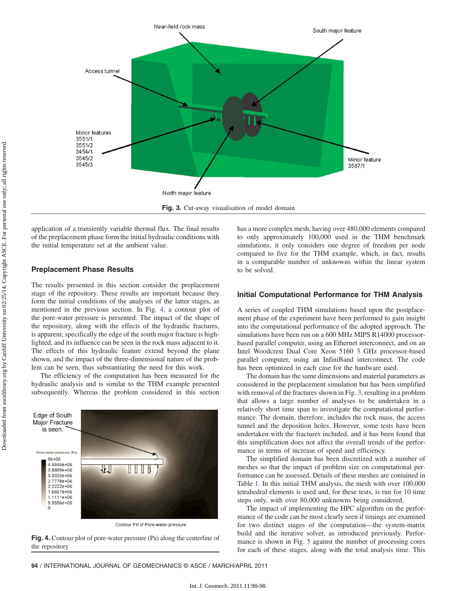<span id="page-4-0"></span>

application of a transiently variable thermal flux. The final results of the preplacement phase form the initial hydraulic conditions with the initial temperature set at the ambient value.

# Preplacement Phase Results

The results presented in this section consider the preplacement stage of the repository. These results are important because they form the initial conditions of the analyses of the latter stages, as mentioned in the previous section. In Fig. [4](#page-4-1), a contour plot of the pore-water pressure is presented. The impact of the shape of the repository, along with the effects of the hydraulic fractures, is apparent; specifically the edge of the south major fracture is highlighted, and its influence can be seen in the rock mass adjacent to it. The effects of this hydraulic feature extend beyond the plane shown, and the impact of the three-dimensional nature of the problem can be seen, thus substantiating the need for this work.

The efficiency of the computation has been measured for the hydraulic analysis and is similar to the THM example presented subsequently. Whereas the problem considered in this section

<span id="page-4-1"></span>

Contour Fill of Pore-water-pressure.

Fig. 4. Contour plot of pore-water pressure (Pa) along the centerline of the repository

has a more complex mesh, having over 480,000 elements compared to only approximately 100,000 used in the THM benchmark simulations, it only considers one degree of freedom per node compared to five for the THM example, which, in fact, results in a comparable number of unknowns within the linear system to be solved.

# Initial Computational Performance for THM Analysis

A series of coupled THM simulations based upon the postplacement phase of the experiment have been performed to gain insight into the computational performance of the adopted approach. The simulations have been run on a 600 MHz MIPS R14000 processorbased parallel computer, using an Ethernet interconnect, and on an Intel Woodcrest Dual Core Xeon 5160 3 GHz processor-based parallel computer, using an InfiniBand interconnect. The code has been optimized in each case for the hardware used.

The domain has the same dimensions and material parameters as considered in the preplacement simulation but has been simplified with removal of the fractures shown in Fig. [3](#page-4-0), resulting in a problem that allows a large number of analyses to be undertaken in a relatively short time span to investigate the computational performance. The domain, therefore, includes the rock mass, the access tunnel and the deposition holes. However, some tests have been undertaken with the fractures included, and it has been found that this simplification does not affect the overall trends of the performance in terms of increase of speed and efficiency.

The simplified domain has been discretized with a number of meshes so that the impact of problem size on computational performance can be assessed. Details of these meshes are contained in Table [1](#page-5-0). In this initial THM analysis, the mesh with over 100,000 tetrahedral elements is used and, for these tests, is run for 10 time steps only, with over 80,000 unknowns being considered.

The impact of implementing the HPC algorithm on the performance of the code can be most clearly seen if timings are examined for two distinct stages of the computation—the system-matrix build and the iterative solver, as introduced previously. Performance is shown in Fig. [5](#page-5-1) against the number of processing cores for each of these stages, along with the total analysis time. This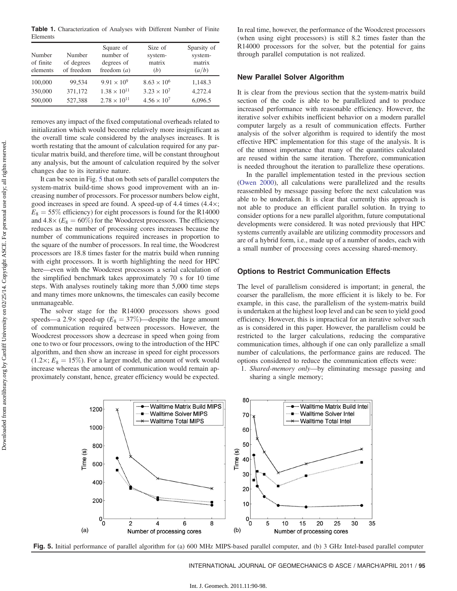<span id="page-5-0"></span>Table 1. Characterization of Analyses with Different Number of Finite Elements

| Number<br>of finite<br>elements | Number<br>of degrees<br>of freedom | Square of<br>number of<br>degrees of<br>freedom $(a)$ | Size of<br>system-<br>matrix<br>(b) | Sparsity of<br>system-<br>matrix<br>(a/b) |
|---------------------------------|------------------------------------|-------------------------------------------------------|-------------------------------------|-------------------------------------------|
| 100,000                         | 99,534                             | $9.91 \times 10^{9}$                                  | $8.63 \times 10^{6}$                | 1,148.3                                   |
| 350,000                         | 371,172                            | $1.38 \times 10^{11}$                                 | $3.23 \times 10^{7}$                | 4,272.4                                   |
| 500,000                         | 527,388                            | $2.78 \times 10^{11}$                                 | $4.56 \times 10^{7}$                | 6,096.5                                   |

removes any impact of the fixed computational overheads related to initialization which would become relatively more insignificant as the overall time scale considered by the analyses increases. It is worth restating that the amount of calculation required for any particular matrix build, and therefore time, will be constant throughout any analysis, but the amount of calculation required by the solver changes due to its iterative nature.

It can be seen in Fig. [5](#page-5-1) that on both sets of parallel computers the system-matrix build-time shows good improvement with an increasing number of processors. For processor numbers below eight, good increases in speed are found. A speed-up of 4.4 times (4:4×;  $E_8 = 55\%$  efficiency) for eight processors is found for the R14000 and  $4.8 \times (E_8 = 60\%)$  for the Woodcrest processors. The efficiency reduces as the number of processing cores increases because the number of communications required increases in proportion to the square of the number of processors. In real time, the Woodcrest processors are 18.8 times faster for the matrix build when running with eight processors. It is worth highlighting the need for HPC here—even with the Woodcrest processors a serial calculation of the simplified benchmark takes approximately 70 s for 10 time steps. With analyses routinely taking more than 5,000 time steps and many times more unknowns, the timescales can easily become unmanageable.

The solver stage for the R14000 processors shows good speeds—a 2.9× speed-up ( $E_8 = 37\%$ )—despite the large amount of communication required between processors. However, the Woodcrest processors show a decrease in speed when going from one to two or four processors, owing to the introduction of the HPC algorithm, and then show an increase in speed for eight processors  $(1.2\times; E_8 = 15\%)$ . For a larger model, the amount of work would increase whereas the amount of communication would remain approximately constant, hence, greater efficiency would be expected. In real time, however, the performance of the Woodcrest processors (when using eight processors) is still 8.2 times faster than the R14000 processors for the solver, but the potential for gains through parallel computation is not realized.

# New Parallel Solver Algorithm

It is clear from the previous section that the system-matrix build section of the code is able to be parallelized and to produce increased performance with reasonable efficiency. However, the iterative solver exhibits inefficient behavior on a modern parallel computer largely as a result of communication effects. Further analysis of the solver algorithm is required to identify the most effective HPC implementation for this stage of the analysis. It is of the utmost importance that many of the quantities calculated are reused within the same iteration. Therefore, communication is needed throughout the iteration to parallelize these operations.

In the parallel implementation tested in the previous section [\(Owen 2000](#page-8-13)), all calculations were parallelized and the results reassembled by message passing before the next calculation was able to be undertaken. It is clear that currently this approach is not able to produce an efficient parallel solution. In trying to consider options for a new parallel algorithm, future computational developments were considered. It was noted previously that HPC systems currently available are utilizing commodity processors and are of a hybrid form, i.e., made up of a number of nodes, each with a small number of processing cores accessing shared-memory.

# Options to Restrict Communication Effects

The level of parallelism considered is important; in general, the coarser the parallelism, the more efficient it is likely to be. For example, in this case, the parallelism of the system-matrix build is undertaken at the highest loop level and can be seen to yield good efficiency. However, this is impractical for an iterative solver such as is considered in this paper. However, the parallelism could be restricted to the larger calculations, reducing the comparative communication times, although if one can only parallelize a small number of calculations, the performance gains are reduced. The options considered to reduce the communication effects were:

1. Shared-memory only—by eliminating message passing and sharing a single memory;

<span id="page-5-1"></span>

Fig. 5. Initial performance of parallel algorithm for (a) 600 MHz MIPS-based parallel computer, and (b) 3 GHz Intel-based parallel computer

INTERNATIONAL JOURNAL OF GEOMECHANICS © ASCE / MARCH/APRIL 2011 / 95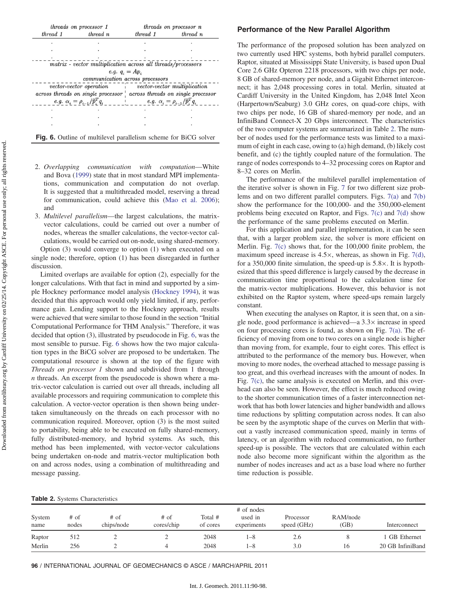<span id="page-6-0"></span>

|          | threads on processor 1                                                  | threads on processor n |          |  |
|----------|-------------------------------------------------------------------------|------------------------|----------|--|
| thread 1 | thread n                                                                | thread 1               | thread n |  |
|          |                                                                         |                        |          |  |
|          |                                                                         |                        |          |  |
|          |                                                                         |                        |          |  |
|          | matrix - vector multiplication across all threads/processors            |                        |          |  |
|          | e.g. $q_i = Ap_i$                                                       |                        |          |  |
|          | communication across processors                                         |                        |          |  |
|          | vector-vector operation in vector-vector multiplication                 |                        |          |  |
|          | across threads on single processor across threads on single processor   |                        |          |  |
|          |                                                                         |                        |          |  |
|          |                                                                         |                        |          |  |
|          |                                                                         |                        |          |  |
|          |                                                                         |                        |          |  |
|          | <b>Fig. 6.</b> Outline of multilevel parallelism scheme for BiCG solver |                        |          |  |

- 2. Overlapping communication with computation—White and Bova [\(1999](#page-8-21)) state that in most standard MPI implementations, communication and computation do not overlap. It is suggested that a multithreaded model, reserving a thread for communication, could achieve this [\(Mao et al. 2006](#page-8-22)); and
- 3. Multilevel parallelism—the largest calculations, the matrixvector calculations, could be carried out over a number of nodes, whereas the smaller calculations, the vector-vector calculations, would be carried out on-node, using shared-memory.

Option (3) would converge to option (1) when executed on a single node; therefore, option (1) has been disregarded in further discussion.

Limited overlaps are available for option (2), especially for the longer calculations. With that fact in mind and supported by a simple Hockney performance model analysis ([Hockney 1994\)](#page-8-23), it was decided that this approach would only yield limited, if any, performance gain. Lending support to the Hockney approach, results were achieved that were similar to those found in the section "Initial Computational Performance for THM Analysis." Therefore, it was decided that option (3), illustrated by pseudocode in Fig. [6](#page-6-0), was the most sensible to pursue. Fig. [6](#page-6-0) shows how the two major calculation types in the BiCG solver are proposed to be undertaken. The computational resource is shown at the top of the figure with Threads on processor 1 shown and subdivided from 1 through n threads. An excerpt from the pseudocode is shown where a matrix-vector calculation is carried out over all threads, including all available processors and requiring communication to complete this calculation. A vector-vector operation is then shown being undertaken simultaneously on the threads on each processor with no communication required. Moreover, option (3) is the most suited to portability, being able to be executed on fully shared-memory, fully distributed-memory, and hybrid systems. As such, this method has been implemented, with vector-vector calculations being undertaken on-node and matrix-vector multiplication both on and across nodes, using a combination of multithreading and message passing.

## Performance of the New Parallel Algorithm

The performance of the proposed solution has been analyzed on two currently used HPC systems, both hybrid parallel computers. Raptor, situated at Mississippi State University, is based upon Dual Core 2.6 GHz Opteron 2218 processors, with two chips per node, 8 GB of shared-memory per node, and a Gigabit Ethernet interconnect; it has 2,048 processing cores in total. Merlin, situated at Cardiff University in the United Kingdom, has 2,048 Intel Xeon (Harpertown/Seaburg) 3.0 GHz cores, on quad-core chips, with two chips per node, 16 GB of shared-memory per node, and an InfiniBand Connect-X 20 Gbps interconnect. The characteristics of the two computer systems are summarized in Table [2](#page-6-1). The number of nodes used for the performance tests was limited to a maximum of eight in each case, owing to (a) high demand, (b) likely cost benefit, and (c) the tightly coupled nature of the formulation. The range of nodes corresponds to 4–32 processing cores on Raptor and 8–32 cores on Merlin.

The performance of the multilevel parallel implementation of the iterative solver is shown in Fig. [7](#page-7-0) for two different size problems and on two different parallel computers. Figs. [7\(a\)](#page-7-0) and [7\(b\)](#page-7-0) show the performance for the 100,000- and the 350,000-element problems being executed on Raptor, and Figs. [7\(c\)](#page-7-0) and [7\(d\)](#page-7-0) show the performance of the same problems executed on Merlin.

For this application and parallel implementation, it can be seen that, with a larger problem size, the solver is more efficient on Merlin. Fig. [7\(c\)](#page-7-0) shows that, for the 100,000 finite problem, the maximum speed increase is  $4.5\times$ , whereas, as shown in Fig. [7\(d\),](#page-7-0) for a 350,000 finite simulation, the speed-up is  $5.8 \times$ . It is hypothesized that this speed difference is largely caused by the decrease in communication time proportional to the calculation time for the matrix-vector multiplications. However, this behavior is not exhibited on the Raptor system, where speed-ups remain largely constant.

When executing the analyses on Raptor, it is seen that, on a single node, good performance is achieved—a  $3.3\times$  increase in speed on four processing cores is found, as shown on Fig. [7\(a\).](#page-7-0) The efficiency of moving from one to two cores on a single node is higher than moving from, for example, four to eight cores. This effect is attributed to the performance of the memory bus. However, when moving to more nodes, the overhead attached to message passing is too great, and this overhead increases with the amount of nodes. In Fig. [7\(c\)](#page-7-0), the same analysis is executed on Merlin, and this overhead can also be seen. However, the effect is much reduced owing to the shorter communication times of a faster interconnection network that has both lower latencies and higher bandwidth and allows time reductions by splitting computation across nodes. It can also be seen by the asymptotic shape of the curves on Merlin that without a vastly increased communication speed, mainly in terms of latency, or an algorithm with reduced communication, no further speed-up is possible. The vectors that are calculated within each node also become more significant within the algorithm as the number of nodes increases and act as a base load where no further time reduction is possible.

<span id="page-6-1"></span>

|  |  |  | <b>Table 2.</b> Systems Characteristics |  |  |
|--|--|--|-----------------------------------------|--|--|
|--|--|--|-----------------------------------------|--|--|

| System<br>name | # of<br>nodes | $#$ of<br>chips/node | $#$ of<br>cores/chip | Total #<br>of cores | # of nodes<br>used in<br>experiments | Processor<br>speed (GHz) | RAM/node<br>(GB) | Interconnect     |
|----------------|---------------|----------------------|----------------------|---------------------|--------------------------------------|--------------------------|------------------|------------------|
| Raptor         | 512           |                      |                      | 2048                | $-8$                                 | 2.6                      |                  | 1 GB Ethernet    |
| Merlin         | 256           |                      |                      | 2048                | $-8$                                 | 3.0                      | 16               | 20 GB InfiniBand |

96 / INTERNATIONAL JOURNAL OF GEOMECHANICS © ASCE / MARCH/APRIL 2011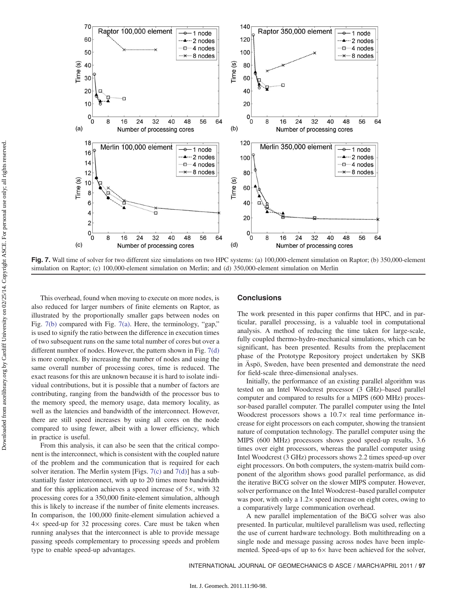<span id="page-7-0"></span>

Fig. 7. Wall time of solver for two different size simulations on two HPC systems: (a) 100,000-element simulation on Raptor; (b) 350,000-element simulation on Raptor; (c) 100,000-element simulation on Merlin; and (d) 350,000-element simulation on Merlin

This overhead, found when moving to execute on more nodes, is also reduced for larger numbers of finite elements on Raptor, as illustrated by the proportionally smaller gaps between nodes on Fig. [7\(b\)](#page-7-0) compared with Fig. [7\(a\).](#page-7-0) Here, the terminology, "gap," is used to signify the ratio between the difference in execution times of two subsequent runs on the same total number of cores but over a different number of nodes. However, the pattern shown in Fig. [7\(d\)](#page-7-0) is more complex. By increasing the number of nodes and using the same overall number of processing cores, time is reduced. The exact reasons for this are unknown because it is hard to isolate individual contributions, but it is possible that a number of factors are contributing, ranging from the bandwidth of the processor bus to the memory speed, the memory usage, data memory locality, as well as the latencies and bandwidth of the interconnect. However, there are still speed increases by using all cores on the node compared to using fewer, albeit with a lower efficiency, which in practice is useful.

From this analysis, it can also be seen that the critical component is the interconnect, which is consistent with the coupled nature of the problem and the communication that is required for each solver iteration. The Merlin system [Figs. [7\(c\)](#page-7-0) and [7\(d\)\]](#page-7-0) has a substantially faster interconnect, with up to 20 times more bandwidth and for this application achieves a speed increase of 5×, with 32 processing cores for a 350,000 finite-element simulation, although this is likely to increase if the number of finite elements increases. In comparison, the 100,000 finite-element simulation achieved a 4× speed-up for 32 processing cores. Care must be taken when running analyses that the interconnect is able to provide message passing speeds complementary to processing speeds and problem type to enable speed-up advantages.

### **Conclusions**

The work presented in this paper confirms that HPC, and in particular, parallel processing, is a valuable tool in computational analysis. A method of reducing the time taken for large-scale, fully coupled thermo-hydro-mechanical simulations, which can be significant, has been presented. Results from the preplacement phase of the Prototype Repository project undertaken by SKB in Äspö, Sweden, have been presented and demonstrate the need for field-scale three-dimensional analyses.

Initially, the performance of an existing parallel algorithm was tested on an Intel Woodcrest processor (3 GHz)–based parallel computer and compared to results for a MIPS (600 MHz) processor-based parallel computer. The parallel computer using the Intel Woodcrest processors shows a  $10.7\times$  real time performance increase for eight processors on each computer, showing the transient nature of computation technology. The parallel computer using the MIPS (600 MHz) processors shows good speed-up results, 3.6 times over eight processors, whereas the parallel computer using Intel Woodcrest (3 GHz) processors shows 2.2 times speed-up over eight processors. On both computers, the system-matrix build component of the algorithm shows good parallel performance, as did the iterative BiCG solver on the slower MIPS computer. However, solver performance on the Intel Woodcrest–based parallel computer was poor, with only a  $1.2 \times$  speed increase on eight cores, owing to a comparatively large communication overhead.

A new parallel implementation of the BiCG solver was also presented. In particular, multilevel parallelism was used, reflecting the use of current hardware technology. Both multithreading on a single node and message passing across nodes have been implemented. Speed-ups of up to  $6\times$  have been achieved for the solver,